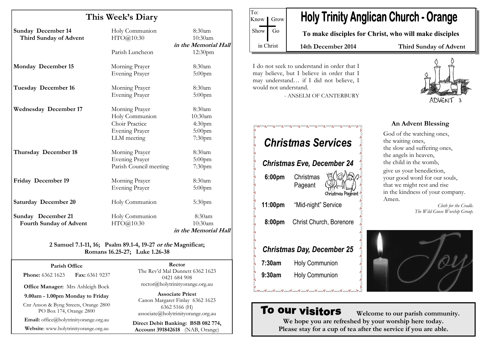| This Week's Diary              |                        |                      |
|--------------------------------|------------------------|----------------------|
| <b>Sunday December 14</b>      | Holy Communion         | 8:30am               |
| Third Sunday of Advent         | HTO@10:30              | 10:30am              |
|                                |                        | in the Memorial Hall |
|                                | Parish Luncheon        | 12:30pm              |
| Monday December 15             | Morning Prayer         | 8:30am               |
|                                | <b>Evening Prayer</b>  | $5:00$ pm            |
| Tuesday December 16            | Morning Prayer         | 8:30am               |
|                                | <b>Evening Prayer</b>  | 5:00pm               |
| <b>Wednesday December 17</b>   | Morning Prayer         | 8:30am               |
|                                | Holy Communion         | 10:30am              |
|                                | Choir Practice         | 4:30 <sub>pm</sub>   |
|                                | <b>Evening Prayer</b>  | 5:00pm               |
|                                | LLM meeting            | 7:30pm               |
| Thursday December 18           | Morning Prayer         | 8:30am               |
|                                | <b>Evening Prayer</b>  | $5:00$ pm            |
|                                | Parish Council meeting | 7:30pm               |
| <b>Friday December 19</b>      | Morning Prayer         | 8:30am               |
|                                | <b>Evening Prayer</b>  | 5:00pm               |
| <b>Saturday December 20</b>    | Holy Communion         | 5:30 <sub>pm</sub>   |
| <b>Sunday</b> December 21      | Holy Communion         | 8:30am               |
| <b>Fourth Sunday of Advent</b> | HTO@10:30              | 10:30am              |
|                                |                        | in the Memorial Hall |

#### 2 Samuel 7.1-11, 16; Psalm 89.1-4, 19-27 or the Magnificat; Romans 16.25-27; Luke 1.26-38

| Parish Office |  |
|---------------|--|
|---------------|--|

**Phone: 6362 1623 Fax: 6361 9237** 

Office Manager: Mrs Ashleigh Bock

9.00am - 1.00pm Monday to Friday

Cnr Anson & Byng Streets, Orange 2800 PO Box 174, Orange 2800

Email: office@holytrinityorange.org.au

Website: www.holytrinityorange.org.au

Rector The Rev'd Mal Dunnett 6362 1623

0421 684 908 rector@holytrinityorange.org.au

Associate Priest Canon Margaret Finlay 6362 1623 6362 5166 (H) associate@holytrinityorange.org.au

Direct Debit Banking: BSB 082 774, Account 391842618 (NAB, Orange)



I do not seek to understand in order that I may believe, but I believe in order that I may understand… if I did not believe, I would not understand.

To:

- ANSELM OF CANTERBURY

## Christmas Services Christmas Eve, December 24 6:00pm Christmas Pageant Christmas Pageant 11:00pm "Mid-night" Service 8:00pm Christ Church, Borenore Christmas Day, December 25 7:30am Holy Communion 9:30am Holy Communion

# ADVENT

#### An Advent Blessing

God of the watching ones, the waiting ones, the slow and suffering ones, the angels in heaven, the child in the womb, give us your benediction, your good word for our souls, that we might rest and rise in the kindness of your company. Amen.

> Cloth for the Cradle. The Wild Goose Worship Group.



### To our visitors

 Welcome to our parish community. We hope you are refreshed by your worship here today. Please stay for a cup of tea after the service if you are able.